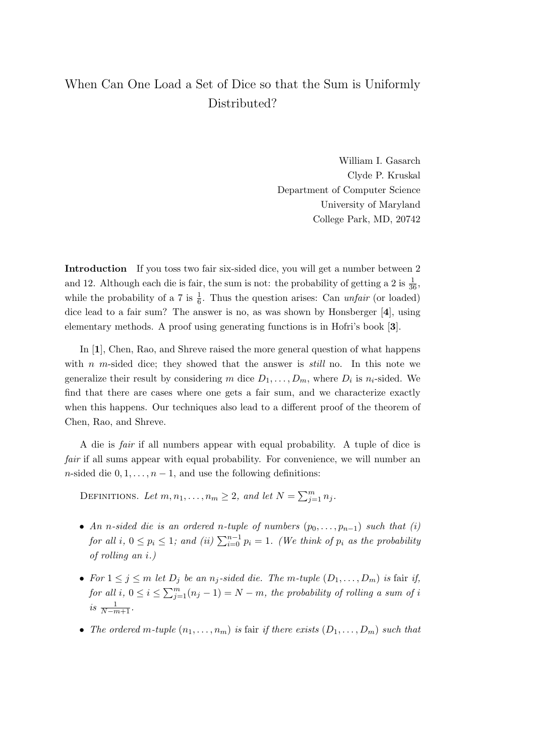## When Can One Load a Set of Dice so that the Sum is Uniformly Distributed?

William I. Gasarch Clyde P. Kruskal Department of Computer Science University of Maryland College Park, MD, 20742

Introduction If you toss two fair six-sided dice, you will get a number between 2 and 12. Although each die is fair, the sum is not: the probability of getting a 2 is  $\frac{1}{36}$ , while the probability of a 7 is  $\frac{1}{6}$ . Thus the question arises: Can *unfair* (or loaded) dice lead to a fair sum? The answer is no, as was shown by Honsberger [4], using elementary methods. A proof using generating functions is in Hofri's book [3].

In [1], Chen, Rao, and Shreve raised the more general question of what happens with n m-sided dice; they showed that the answer is *still* no. In this note we generalize their result by considering m dice  $D_1, \ldots, D_m$ , where  $D_i$  is  $n_i$ -sided. We find that there are cases where one gets a fair sum, and we characterize exactly when this happens. Our techniques also lead to a different proof of the theorem of Chen, Rao, and Shreve.

A die is fair if all numbers appear with equal probability. A tuple of dice is fair if all sums appear with equal probability. For convenience, we will number an n-sided die  $0, 1, \ldots, n-1$ , and use the following definitions:

DEFINITIONS. Let  $m, n_1, \ldots, n_m \geq 2$ , and let  $N = \sum_{j=1}^m n_j$ .

- An n-sided die is an ordered n-tuple of numbers  $(p_0, \ldots, p_{n-1})$  such that (i) for all i,  $0 \le p_i \le 1$ ; and (ii)  $\sum_{i=0}^{n-1} p_i = 1$ . (We think of  $p_i$  as the probability of rolling an i.)
- For  $1 \leq j \leq m$  let  $D_j$  be an  $n_j$ -sided die. The m-tuple  $(D_1, \ldots, D_m)$  is fair if, for all i,  $0 \leq i \leq \sum_{j=1}^{m} (n_j - 1) = N - m$ , the probability of rolling a sum of i is  $\frac{1}{N-m+1}$ .
- The ordered m-tuple  $(n_1, \ldots, n_m)$  is fair if there exists  $(D_1, \ldots, D_m)$  such that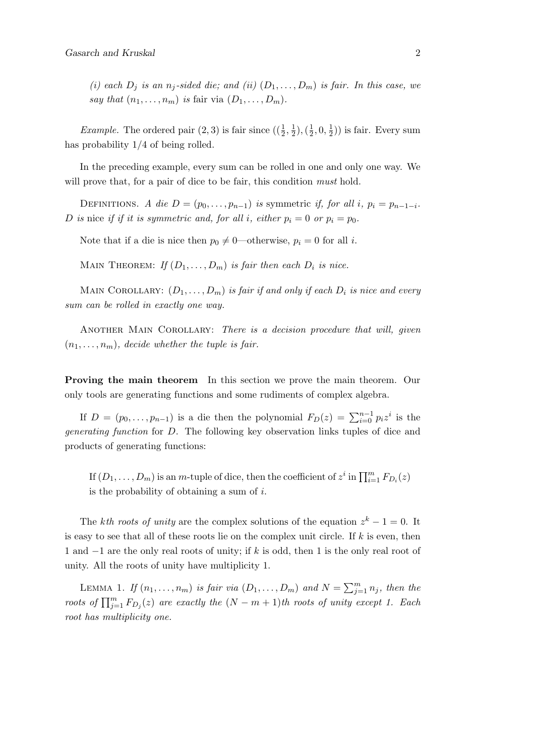(i) each  $D_j$  is an  $n_j$ -sided die; and (ii)  $(D_1, \ldots, D_m)$  is fair. In this case, we say that  $(n_1, \ldots, n_m)$  is fair via  $(D_1, \ldots, D_m)$ .

*Example.* The ordered pair  $(2, 3)$  is fair since  $\left(\left(\frac{1}{2}, \frac{1}{2}\right)\right)$  $(\frac{1}{2}), (\frac{1}{2})$  $\frac{1}{2}, 0, \frac{1}{2}$  $(\frac{1}{2})$ ) is fair. Every sum has probability  $1/4$  of being rolled.

In the preceding example, every sum can be rolled in one and only one way. We will prove that, for a pair of dice to be fair, this condition *must* hold.

DEFINITIONS. A die  $D = (p_0, \ldots, p_{n-1})$  is symmetric if, for all i,  $p_i = p_{n-1-i}$ . D is nice if if it is symmetric and, for all i, either  $p_i = 0$  or  $p_i = p_0$ .

Note that if a die is nice then  $p_0 \neq 0$ —otherwise,  $p_i = 0$  for all i.

MAIN THEOREM: If  $(D_1, \ldots, D_m)$  is fair then each  $D_i$  is nice.

MAIN COROLLARY:  $(D_1, \ldots, D_m)$  is fair if and only if each  $D_i$  is nice and every sum can be rolled in exactly one way.

ANOTHER MAIN COROLLARY: There is a decision procedure that will, given  $(n_1, \ldots, n_m)$ , decide whether the tuple is fair.

Proving the main theorem In this section we prove the main theorem. Our only tools are generating functions and some rudiments of complex algebra.

If  $D = (p_0, \ldots, p_{n-1})$  is a die then the polynomial  $F_D(z) = \sum_{i=0}^{n-1} p_i z^i$  is the generating function for D. The following key observation links tuples of dice and products of generating functions:

If  $(D_1, \ldots, D_m)$  is an m-tuple of dice, then the coefficient of  $z^i$  in  $\prod_{i=1}^m F_{D_i}(z)$ is the probability of obtaining a sum of  $i$ .

The kth roots of unity are the complex solutions of the equation  $z^k - 1 = 0$ . It is easy to see that all of these roots lie on the complex unit circle. If  $k$  is even, then 1 and −1 are the only real roots of unity; if k is odd, then 1 is the only real root of unity. All the roots of unity have multiplicity 1.

LEMMA 1. If  $(n_1, \ldots, n_m)$  is fair via  $(D_1, \ldots, D_m)$  and  $N = \sum_{j=1}^m n_j$ , then the roots of  $\prod_{j=1}^m F_{D_j}(z)$  are exactly the  $(N-m+1)$ th roots of unity except 1. Each root has multiplicity one.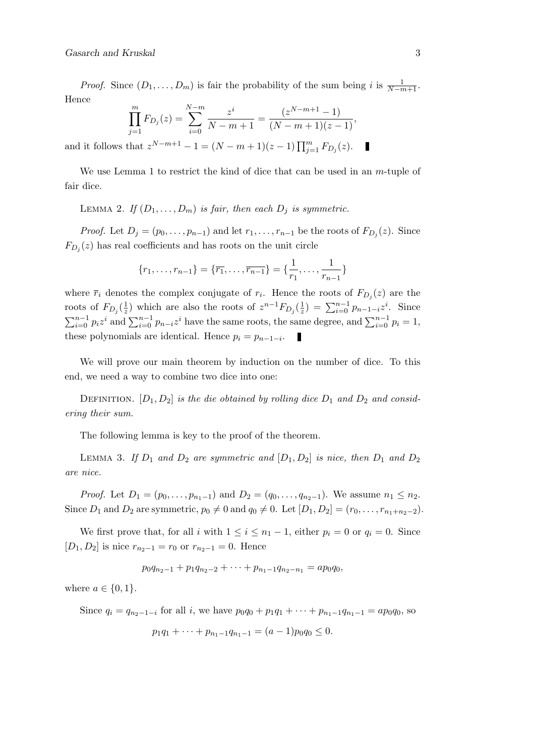*Proof.* Since  $(D_1, \ldots, D_m)$  is fair the probability of the sum being i is  $\frac{1}{N-m+1}$ . Hence

$$
\prod_{j=1}^{m} F_{D_j}(z) = \sum_{i=0}^{N-m} \frac{z^i}{N-m+1} = \frac{(z^{N-m+1}-1)}{(N-m+1)(z-1)},
$$

and it follows that  $z^{N-m+1} - 1 = (N - m + 1)(z - 1) \prod_{j=1}^{m} F_{D_j}(z)$ .

We use Lemma 1 to restrict the kind of dice that can be used in an  $m$ -tuple of fair dice.

LEMMA 2. If  $(D_1, \ldots, D_m)$  is fair, then each  $D_i$  is symmetric.

*Proof.* Let  $D_j = (p_0, \ldots, p_{n-1})$  and let  $r_1, \ldots, r_{n-1}$  be the roots of  $F_{D_j}(z)$ . Since  $F_{D_j}(z)$  has real coefficients and has roots on the unit circle

$$
\{r_1, \ldots, r_{n-1}\} = \{\overline{r_1}, \ldots, \overline{r_{n-1}}\} = \{\frac{1}{r_1}, \ldots, \frac{1}{r_{n-1}}\}
$$

where  $\bar{r}_i$  denotes the complex conjugate of  $r_i$ . Hence the roots of  $F_{D_j}(z)$  are the roots of  $F_{D_j}(\frac{1}{z})$  $\frac{1}{z}$ ) which are also the roots of  $z^{n-1}F_{D_j}(\frac{1}{z})$  $(\frac{1}{z}) = \sum_{i=0}^{n-1} p_{n-1-i} z^i$ . Since  $\sum_{i=0}^{n-1} p_i z^i$  and  $\sum_{i=0}^{n-1} p_{n-i} z^i$  have the same roots, the same degree, and  $\sum_{i=0}^{n-1} p_i = 1$ , these polynomials are identical. Hence  $p_i = p_{n-1-i}$ .

We will prove our main theorem by induction on the number of dice. To this end, we need a way to combine two dice into one:

DEFINITION.  $[D_1, D_2]$  is the die obtained by rolling dice  $D_1$  and  $D_2$  and considering their sum.

The following lemma is key to the proof of the theorem.

LEMMA 3. If  $D_1$  and  $D_2$  are symmetric and  $[D_1, D_2]$  is nice, then  $D_1$  and  $D_2$ are nice.

*Proof.* Let  $D_1 = (p_0, \ldots, p_{n_1-1})$  and  $D_2 = (q_0, \ldots, q_{n_2-1})$ . We assume  $n_1 \leq n_2$ . Since  $D_1$  and  $D_2$  are symmetric,  $p_0 \neq 0$  and  $q_0 \neq 0$ . Let  $[D_1, D_2] = (r_0, \ldots, r_{n_1+n_2-2})$ .

We first prove that, for all i with  $1 \leq i \leq n_1 - 1$ , either  $p_i = 0$  or  $q_i = 0$ . Since  $[D_1, D_2]$  is nice  $r_{n_2-1} = r_0$  or  $r_{n_2-1} = 0$ . Hence

$$
p_0q_{n_2-1} + p_1q_{n_2-2} + \cdots + p_{n_1-1}q_{n_2-n_1} = ap_0q_0,
$$

where  $a \in \{0, 1\}.$ 

Since  $q_i = q_{n_2-1-i}$  for all i, we have  $p_0q_0 + p_1q_1 + \cdots + p_{n_1-1}q_{n_1-1} = ap_0q_0$ , so

$$
p_1q_1 + \cdots + p_{n_1-1}q_{n_1-1} = (a-1)p_0q_0 \leq 0.
$$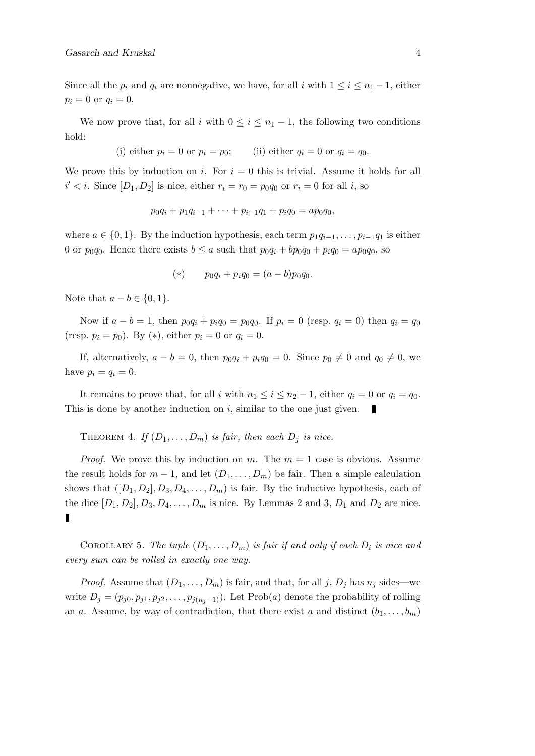Since all the  $p_i$  and  $q_i$  are nonnegative, we have, for all i with  $1 \leq i \leq n_1 - 1$ , either  $p_i = 0$  or  $q_i = 0$ .

We now prove that, for all i with  $0 \leq i \leq n_1 - 1$ , the following two conditions hold:

(i) either  $p_i = 0$  or  $p_i = p_0$ ; (ii) either  $q_i = 0$  or  $q_i = q_0$ .

We prove this by induction on i. For  $i = 0$  this is trivial. Assume it holds for all  $i' < i$ . Since  $[D_1, D_2]$  is nice, either  $r_i = r_0 = p_0 q_0$  or  $r_i = 0$  for all i, so

$$
p_0q_i + p_1q_{i-1} + \cdots + p_{i-1}q_1 + p_iq_0 = ap_0q_0,
$$

where  $a \in \{0, 1\}$ . By the induction hypothesis, each term  $p_1q_{i-1}, \ldots, p_{i-1}q_1$  is either 0 or  $p_0q_0$ . Hence there exists  $b \le a$  such that  $p_0q_1 + bp_0q_0 + p_iq_0 = ap_0q_0$ , so

(\*) 
$$
p_0 q_i + p_i q_0 = (a - b)p_0 q_0.
$$

Note that  $a - b \in \{0, 1\}.$ 

Now if  $a - b = 1$ , then  $p_0 q_i + p_i q_0 = p_0 q_0$ . If  $p_i = 0$  (resp.  $q_i = 0$ ) then  $q_i = q_0$ (resp.  $p_i = p_0$ ). By (\*), either  $p_i = 0$  or  $q_i = 0$ .

If, alternatively,  $a - b = 0$ , then  $p_0q_i + p_iq_0 = 0$ . Since  $p_0 \neq 0$  and  $q_0 \neq 0$ , we have  $p_i = q_i = 0$ .

It remains to prove that, for all i with  $n_1 \leq i \leq n_2 - 1$ , either  $q_i = 0$  or  $q_i = q_0$ . This is done by another induction on  $i$ , similar to the one just given.  $\mathcal{L}$ 

THEOREM 4. If  $(D_1, \ldots, D_m)$  is fair, then each  $D_i$  is nice.

*Proof.* We prove this by induction on m. The  $m = 1$  case is obvious. Assume the result holds for  $m-1$ , and let  $(D_1, \ldots, D_m)$  be fair. Then a simple calculation shows that  $([D_1, D_2], D_3, D_4, \ldots, D_m)$  is fair. By the inductive hypothesis, each of the dice  $[D_1, D_2], D_3, D_4, \ldots, D_m$  is nice. By Lemmas 2 and 3,  $D_1$  and  $D_2$  are nice.

COROLLARY 5. The tuple  $(D_1, \ldots, D_m)$  is fair if and only if each  $D_i$  is nice and every sum can be rolled in exactly one way.

*Proof.* Assume that  $(D_1, \ldots, D_m)$  is fair, and that, for all j,  $D_j$  has  $n_j$  sides—we write  $D_j = (p_{j0}, p_{j1}, p_{j2}, \ldots, p_{j(n_j-1)})$ . Let Prob(a) denote the probability of rolling an a. Assume, by way of contradiction, that there exist a and distinct  $(b_1, \ldots, b_m)$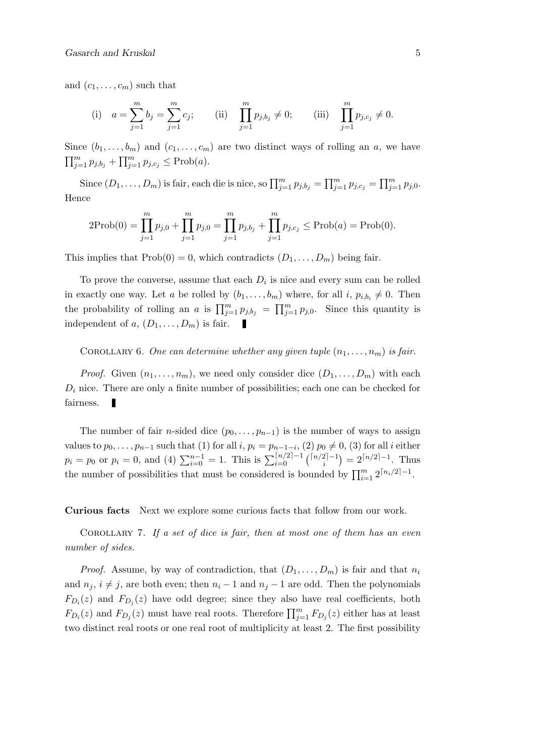and  $(c_1, \ldots, c_m)$  such that

(i) 
$$
a = \sum_{j=1}^{m} b_j = \sum_{j=1}^{m} c_j;
$$
 (ii)  $\prod_{j=1}^{m} p_{j,b_j} \neq 0;$  (iii)  $\prod_{j=1}^{m} p_{j,c_j} \neq 0.$ 

Since  $(b_1, \ldots, b_m)$  and  $(c_1, \ldots, c_m)$  are two distinct ways of rolling an a, we have  $\prod_{j=1}^m p_{j,b_j} + \prod_{j=1}^m p_{j,c_j} \leq \text{Prob}(a).$ 

Since  $(D_1, \ldots, D_m)$  is fair, each die is nice, so  $\prod_{j=1}^m p_{j,b_j} = \prod_{j=1}^m p_{j,c_j} = \prod_{j=1}^m p_{j,0}$ . Hence

$$
2\text{Prob}(0) = \prod_{j=1}^{m} p_{j,0} + \prod_{j=1}^{m} p_{j,0} = \prod_{j=1}^{m} p_{j,b_j} + \prod_{j=1}^{m} p_{j,c_j} \le \text{Prob}(a) = \text{Prob}(0).
$$

This implies that  $Prob(0) = 0$ , which contradicts  $(D_1, \ldots, D_m)$  being fair.

To prove the converse, assume that each  $D_i$  is nice and every sum can be rolled in exactly one way. Let a be rolled by  $(b_1, \ldots, b_m)$  where, for all  $i, p_{i,b_i} \neq 0$ . Then the probability of rolling an a is  $\prod_{j=1}^m p_{j,b_j} = \prod_{j=1}^m p_{j,0}$ . Since this quantity is independent of a,  $(D_1, \ldots, D_m)$  is fair.

COROLLARY 6. One can determine whether any given tuple  $(n_1, \ldots, n_m)$  is fair.

*Proof.* Given  $(n_1, \ldots, n_m)$ , we need only consider dice  $(D_1, \ldots, D_m)$  with each  $D_i$  nice. There are only a finite number of possibilities; each one can be checked for fairness.

The number of fair *n*-sided dice  $(p_0, \ldots, p_{n-1})$  is the number of ways to assign values to  $p_0, \ldots, p_{n-1}$  such that (1) for all  $i, p_i = p_{n-1-i}, (2)$   $p_0 \neq 0, (3)$  for all  $i$  either  $p_i = p_0$  or  $p_i = 0$ , and (4)  $\sum_{i=0}^{n-1} = 1$ . This is  $\sum_{i=0}^{\lceil n/2 \rceil - 1}$   $\binom{\lceil n/2 \rceil - 1}{i}$  $i^{2|-1}$ ) =  $2^{\lceil n/2 \rceil - 1}$ . Thus the number of possibilities that must be considered is bounded by  $\prod_{i=1}^{m} 2^{\lceil n_i/2 \rceil - 1}$ .

Curious facts Next we explore some curious facts that follow from our work.

COROLLARY 7. If a set of dice is fair, then at most one of them has an even number of sides.

*Proof.* Assume, by way of contradiction, that  $(D_1, \ldots, D_m)$  is fair and that  $n_i$ and  $n_j$ ,  $i \neq j$ , are both even; then  $n_i - 1$  and  $n_j - 1$  are odd. Then the polynomials  $F_{D_i}(z)$  and  $F_{D_j}(z)$  have odd degree; since they also have real coefficients, both  $F_{D_i}(z)$  and  $F_{D_j}(z)$  must have real roots. Therefore  $\prod_{j=1}^m F_{D_j}(z)$  either has at least two distinct real roots or one real root of multiplicity at least 2. The first possibility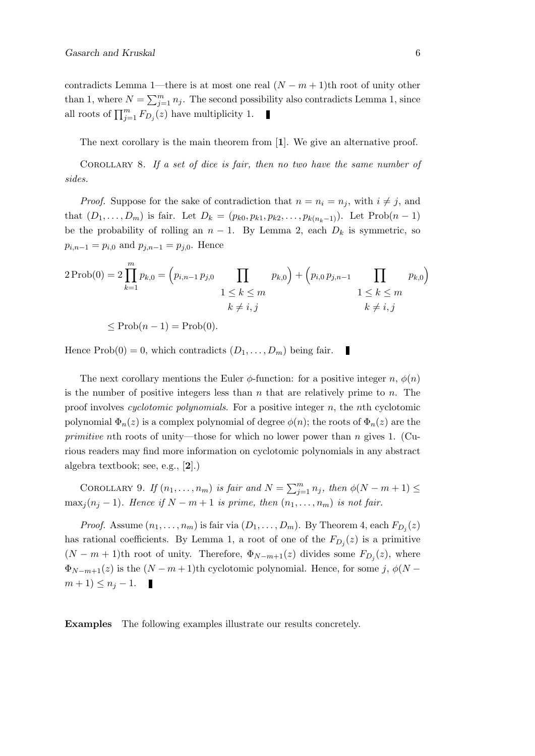contradicts Lemma 1—there is at most one real  $(N - m + 1)$ th root of unity other than 1, where  $N = \sum_{j=1}^{m} n_j$ . The second possibility also contradicts Lemma 1, since all roots of  $\prod_{j=1}^{m} F_{D_j}(z)$  have multiplicity 1.

The next corollary is the main theorem from [1]. We give an alternative proof.

Corollary 8. If a set of dice is fair, then no two have the same number of sides.

*Proof.* Suppose for the sake of contradiction that  $n = n_i = n_j$ , with  $i \neq j$ , and that  $(D_1, ..., D_m)$  is fair. Let  $D_k = (p_{k0}, p_{k1}, p_{k2}, ..., p_{k(n_k-1)})$ . Let  $Prob(n-1)$ be the probability of rolling an  $n-1$ . By Lemma 2, each  $D_k$  is symmetric, so  $p_{i,n-1} = p_{i,0}$  and  $p_{j,n-1} = p_{j,0}$ . Hence

$$
2 \operatorname{Prob}(0) = 2 \prod_{k=1}^{m} p_{k,0} = (p_{i,n-1} p_{j,0} \prod_{\substack{1 \le k \le m \\ k \ne i,j}} p_{k,0}) + (p_{i,0} p_{j,n-1} \prod_{\substack{1 \le k \le m \\ k \ne i,j}} p_{k,0})
$$

 $\leq \text{Prob}(n-1) = \text{Prob}(0).$ 

Hence  $Prob(0) = 0$ , which contradicts  $(D_1, \ldots, D_m)$  being fair. П

The next corollary mentions the Euler  $\phi$ -function: for a positive integer n,  $\phi(n)$ is the number of positive integers less than  $n$  that are relatively prime to  $n$ . The proof involves *cyclotomic polynomials*. For a positive integer  $n$ , the nth cyclotomic polynomial  $\Phi_n(z)$  is a complex polynomial of degree  $\phi(n)$ ; the roots of  $\Phi_n(z)$  are the primitive nth roots of unity—those for which no lower power than n gives 1. (Curious readers may find more information on cyclotomic polynomials in any abstract algebra textbook; see, e.g., [2].)

COROLLARY 9. If  $(n_1, \ldots, n_m)$  is fair and  $N = \sum_{j=1}^m n_j$ , then  $\phi(N - m + 1) \leq$  $\max_j (n_j - 1)$ . Hence if  $N - m + 1$  is prime, then  $(n_1, \ldots, n_m)$  is not fair.

*Proof.* Assume  $(n_1, \ldots, n_m)$  is fair via  $(D_1, \ldots, D_m)$ . By Theorem 4, each  $F_{D_j}(z)$ has rational coefficients. By Lemma 1, a root of one of the  $F_{D_j}(z)$  is a primitive  $(N - m + 1)$ th root of unity. Therefore,  $\Phi_{N-m+1}(z)$  divides some  $F_{D_j}(z)$ , where  $\Phi_{N-m+1}(z)$  is the  $(N-m+1)$ th cyclotomic polynomial. Hence, for some j,  $\phi(N-m+1)$  $m+1 \leq n_j-1.$ 

Examples The following examples illustrate our results concretely.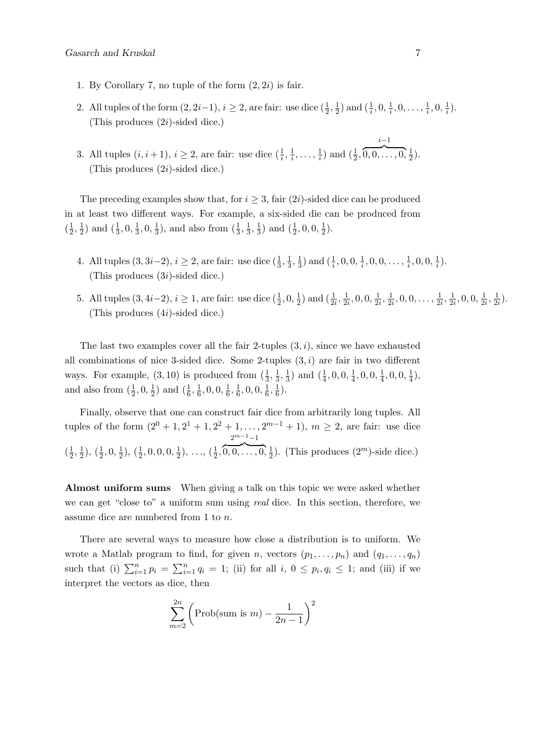- 1. By Corollary 7, no tuple of the form  $(2, 2i)$  is fair.
- 2. All tuples of the form  $(2, 2i-1), i \geq 2$ , are fair: use dice  $(\frac{1}{2}, \frac{1}{2})$  $\frac{1}{2}$ ) and  $(\frac{1}{i}, 0, \frac{1}{i})$  $\frac{1}{i}, 0, \ldots, \frac{1}{i}$  $\frac{1}{i}, 0, \frac{1}{i}$  $\frac{1}{i}$ . (This produces  $(2i)$ -sided dice.)
- 3. All tuples  $(i, i + 1), i \ge 2$ , are fair: use dice  $(\frac{1}{i}, \frac{1}{i})$  $\frac{1}{i}, \ldots, \frac{1}{i}$  $\frac{1}{i}$ ) and  $(\frac{1}{2},$  $\overline{0,0,\ldots,0},\frac{1}{2}$  $(\frac{1}{2})$ . (This produces  $(2i)$ -sided dice.)

The preceding examples show that, for  $i \geq 3$ , fair  $(2i)$ -sided dice can be produced in at least two different ways. For example, a six-sided die can be produced from  $\left(\frac{1}{2}\right)$  $\frac{1}{2}, \frac{1}{2}$  $(\frac{1}{2})$  and  $(\frac{1}{3}, 0, \frac{1}{3})$  $\frac{1}{3}, 0, \frac{1}{3}$  $\frac{1}{3}$ ), and also from  $(\frac{1}{3}, \frac{1}{3})$  $\frac{1}{3}, \frac{1}{3}$  $\frac{1}{3}$ ) and  $(\frac{1}{2}, 0, 0, \frac{1}{2})$  $(\frac{1}{2})$ .

- 4. All tuples  $(3, 3i-2), i \ge 2$ , are fair: use dice  $(\frac{1}{3}, \frac{1}{3})$  $\frac{1}{3}, \frac{1}{3}$  $\frac{1}{3}$ ) and  $(\frac{1}{i}, 0, 0, \frac{1}{i})$  $\frac{1}{i}, 0, 0, \ldots, \frac{1}{i}$  $\frac{1}{i}$ , 0, 0,  $\frac{1}{i}$  $\frac{1}{i}$ . (This produces (3i)-sided dice.)
- 5. All tuples  $(3, 4i-2), i \geq 1$ , are fair: use dice  $(\frac{1}{2}, 0, \frac{1}{2})$  $\frac{1}{2})$  and  $(\frac{1}{2i}, \frac{1}{2i})$  $\frac{1}{2i}, 0, 0, \frac{1}{2}$  $\frac{1}{2i}, \frac{1}{2i}$  $\frac{1}{2i}, 0, 0, \ldots, \frac{1}{2i}$  $\frac{1}{2i}, \frac{1}{2}$  $\frac{1}{2i}, 0, 0, \frac{1}{2}$  $\frac{1}{2i}, \frac{1}{2}$  $\frac{1}{2i}$ . (This produces (4i)-sided dice.)

The last two examples cover all the fair 2-tuples  $(3, i)$ , since we have exhausted all combinations of nice 3-sided dice. Some 2-tuples  $(3, i)$  are fair in two different ways. For example,  $(3, 10)$  is produced from  $(\frac{1}{3}, \frac{1}{3})$  $\frac{1}{3}, \frac{1}{3}$  $\frac{1}{3}$ ) and  $(\frac{1}{4}, 0, 0, \frac{1}{4})$  $\frac{1}{4}$ , 0, 0,  $\frac{1}{4}$  $\frac{1}{4}$ , 0, 0,  $\frac{1}{4}$  $(\frac{1}{4}),$ and also from  $(\frac{1}{2}, 0, \frac{1}{2})$  $(\frac{1}{6}, \frac{1}{6})$  $\frac{1}{6}$ , 0, 0,  $\frac{1}{6}$  $\frac{1}{6}, \frac{1}{6}$  $\frac{1}{6}$ , 0, 0,  $\frac{1}{6}$  $\frac{1}{6}, \frac{1}{6}$  $(\frac{1}{6})$ .

Finally, observe that one can construct fair dice from arbitrarily long tuples. All tuples of the form  $(2^0 + 1, 2^1 + 1, 2^2 + 1, \ldots, 2^{m-1} + 1)$ ,  $m \ge 2$ , are fair: use dice  $\left(\frac{1}{2}\right)$  $\frac{1}{2}, \frac{1}{2}$  $(\frac{1}{2}), (\frac{1}{2}, 0, \frac{1}{2})$  $(\frac{1}{2}), (\frac{1}{2}, 0, 0, 0, \frac{1}{2})$  $(\frac{1}{2}), \ldots, (\frac{1}{2}, \overbrace{0,0}, \ldots, 0, \frac{1}{2})$  $2^{m-1}-1$  $\frac{1}{2}$ ). (This produces  $(2^m)$ -side dice.)

Almost uniform sums When giving a talk on this topic we were asked whether we can get "close to" a uniform sum using real dice. In this section, therefore, we assume dice are numbered from 1 to n.

There are several ways to measure how close a distribution is to uniform. We wrote a Matlab program to find, for given n, vectors  $(p_1, \ldots, p_n)$  and  $(q_1, \ldots, q_n)$ such that (i)  $\sum_{i=1}^{n} p_i = \sum_{i=1}^{n} q_i = 1$ ; (ii) for all  $i, 0 \le p_i, q_i \le 1$ ; and (iii) if we interpret the vectors as dice, then

$$
\sum_{m=2}^{2n} \left( \text{Prob}(\text{sum is } m) - \frac{1}{2n-1} \right)^2
$$

i−1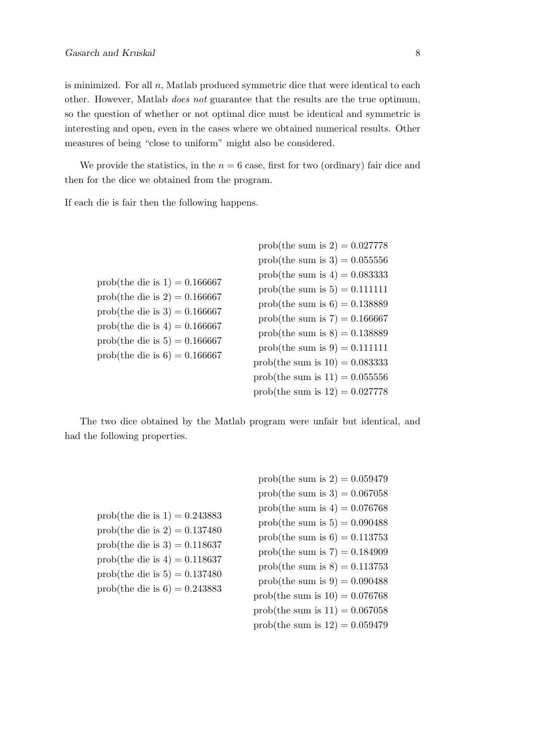is minimized. For all  $n$ , Matlab produced symmetric dice that were identical to each other. However, Matlab does not guarantee that the results are the true optimum, so the question of whether or not optimal dice must be identical and symmetric is interesting and open, even in the cases where we obtained numerical results. Other measures of being "close to uniform" might also be considered.

We provide the statistics, in the  $n = 6$  case, first for two (ordinary) fair dice and then for the dice we obtained from the program.

If each die is fair then the following happens.

|                                                                                                                                                                                                                     | prob(the sum is 2) = $0.027778$   |
|---------------------------------------------------------------------------------------------------------------------------------------------------------------------------------------------------------------------|-----------------------------------|
|                                                                                                                                                                                                                     | prob(the sum is $3$ ) = 0.055556  |
| prob(the die is $1$ ) = 0.166667<br>prob(the die is 2) = $0.166667$<br>prob(the die is $3$ ) = 0.166667<br>prob(the die is $4$ ) = 0.166667<br>prob(the die is $5$ ) = 0.166667<br>prob(the die is $6$ ) = 0.166667 | prob(the sum is $4$ ) = 0.083333  |
|                                                                                                                                                                                                                     | prob(the sum is $5$ ) = 0.111111  |
|                                                                                                                                                                                                                     | prob(the sum is $6$ ) = 0.138889  |
|                                                                                                                                                                                                                     | prob(the sum is $7$ ) = 0.166667  |
|                                                                                                                                                                                                                     | prob(the sum is $8$ ) = 0.138889  |
|                                                                                                                                                                                                                     | prob(the sum is $9 = 0.111111$    |
|                                                                                                                                                                                                                     | prob(the sum is $10$ ) = 0.083333 |
|                                                                                                                                                                                                                     | prob(the sum is $11$ ) = 0.055556 |
|                                                                                                                                                                                                                     | prob(the sum is $12$ ) = 0.027778 |

The two dice obtained by the Matlab program were unfair but identical, and had the following properties.

|                                                                                                                                                                                                                | prob(the sum is 2) = $0.059479$   |
|----------------------------------------------------------------------------------------------------------------------------------------------------------------------------------------------------------------|-----------------------------------|
|                                                                                                                                                                                                                | prob(the sum is $3$ ) = 0.067058  |
| prob(the die is 1) = $0.243883$<br>prob(the die is 2) = $0.137480$<br>prob(the die is 3) = $0.118637$<br>prob(the die is $4$ ) = 0.118637<br>prob(the die is $5 = 0.137480$<br>prob(the die is 6) = $0.243883$ | prob(the sum is $4$ ) = 0.076768  |
|                                                                                                                                                                                                                | prob(the sum is $5$ ) = 0.090488  |
|                                                                                                                                                                                                                | prob(the sum is $6$ ) = 0.113753  |
|                                                                                                                                                                                                                | prob(the sum is $7$ ) = 0.184909  |
|                                                                                                                                                                                                                | prob(the sum is $8$ ) = 0.113753  |
|                                                                                                                                                                                                                | prob(the sum is $9 = 0.090488$    |
|                                                                                                                                                                                                                | prob(the sum is $10$ ) = 0.076768 |
|                                                                                                                                                                                                                | prob(the sum is $11$ ) = 0.067058 |
|                                                                                                                                                                                                                | prob(the sum is $12$ ) = 0.059479 |